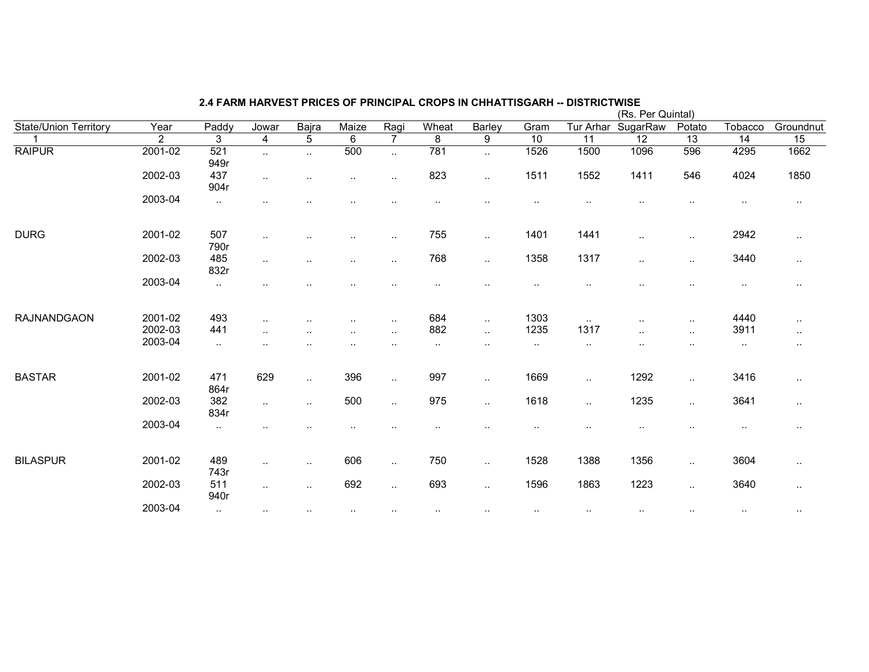|                              |                |             |                        |               |                          |                        |           |           |                      | (Rs. Per Quintal) |                 |                 |                 |                 |  |  |
|------------------------------|----------------|-------------|------------------------|---------------|--------------------------|------------------------|-----------|-----------|----------------------|-------------------|-----------------|-----------------|-----------------|-----------------|--|--|
| <b>State/Union Territory</b> | Year           | Paddy       | Jowar                  | Bajra         | Maize                    | Ragi                   | Wheat     | Barley    | Gram                 | Tur Arhar         | SugarRaw        | Potato          | Tobacco         | Groundnut       |  |  |
|                              | $\overline{2}$ | 3           | 4                      | 5             | 6                        | 7                      | 8         | 9         | 10                   | $\overline{11}$   | $\overline{12}$ | $\overline{13}$ | $\overline{14}$ | $\overline{15}$ |  |  |
| <b>RAIPUR</b>                | 2001-02        | 521<br>949r | $\sim$                 | $\ddotsc$     | 500                      | $\ddotsc$              | 781       | $\ddotsc$ | 1526                 | 1500              | 1096            | 596             | 4295            | 1662            |  |  |
|                              | 2002-03        | 437<br>904r | $\sim$                 |               | ٠.                       | $\ddotsc$              | 823       | $\ddotsc$ | 1511                 | 1552              | 1411            | 546             | 4024            | 1850            |  |  |
|                              | 2003-04        | $\sim$      |                        |               |                          |                        |           |           |                      |                   |                 |                 |                 | $\cdot$ .       |  |  |
| <b>DURG</b>                  | 2001-02        | 507<br>790r | $\ddotsc$              |               |                          | $\cdot$ .              | 755       | $\sim$    | 1401                 | 1441              | $\ddotsc$       | $\ldots$        | 2942            | $\cdot$ .       |  |  |
|                              | 2002-03        | 485<br>832r | $\sim$                 |               | ٠.                       | $\cdot$ .              | 768       | $\sim$    | 1358                 | 1317              | $\cdot$ .       | $\sim$          | 3440            | $\sim$          |  |  |
|                              | 2003-04        | $\sim$      |                        |               |                          |                        |           |           |                      |                   |                 |                 | $\sim$          |                 |  |  |
| <b>RAJNANDGAON</b>           | 2001-02        | 493         | $\sim$                 |               |                          | $\cdot$ .              | 684       | $\ldots$  | 1303                 | $\sim$            |                 | $\sim$          | 4440            | $\cdot$ .       |  |  |
|                              | 2002-03        | 441         | $\ddotsc$              |               | $\overline{\phantom{a}}$ | $\ddotsc$              | 882       | $\ddotsc$ | 1235                 | 1317              | $\cdot$ .       | $\ddotsc$       | 3911            | $\cdot$ .       |  |  |
|                              | 2003-04        | $\sim$      |                        |               |                          |                        | $\cdot$ . | $\cdot$ . | $\ddot{\phantom{0}}$ | ٠.                |                 |                 | $\sim$          | $\sim$          |  |  |
| <b>BASTAR</b>                | 2001-02        | 471<br>864r | 629                    | $\ddotsc$     | 396                      | $\ddot{\phantom{a}}$ . | 997       | $\ddotsc$ | 1669                 | $\ddotsc$         | 1292            | $\sim$          | 3416            | $\cdot$ .       |  |  |
|                              | 2002-03        | 382<br>834r | $\ddot{\phantom{a}}$ . | $\ddotsc$     | 500                      | $\ddotsc$              | 975       | $\ddotsc$ | 1618                 | $\ddotsc$         | 1235            | $\sim$          | 3641            | $\cdot$ .       |  |  |
|                              | 2003-04        | $\sim$      |                        |               |                          |                        |           |           | $\sim$ $\sim$        | ٠.                | $\cdot$ .       | $\cdot$ .       | $\cdot$ .       | $\cdot$ .       |  |  |
| <b>BILASPUR</b>              | 2001-02        | 489<br>743r | $\ddot{\phantom{a}}$   | $\ddotsc$     | 606                      | $\ddot{\phantom{a}}$ . | 750       | $\ddotsc$ | 1528                 | 1388              | 1356            | $\ddotsc$       | 3604            | $\cdot$ .       |  |  |
|                              | 2002-03        | 511<br>940r | $\ddotsc$              | $\ddotsc$     | 692                      | $\ddotsc$              | 693       | $\sim$    | 1596                 | 1863              | 1223            | $\sim$          | 3640            | $\sim$          |  |  |
|                              | 2003-04        | $\sim$ .    | $\sim$                 | $\sim$ $\sim$ |                          |                        | $\cdot$ . |           | $\sim$               | $\cdot$ .         | $\sim$          | $\sim$          | $\cdot$ .       | $\cdot$ .       |  |  |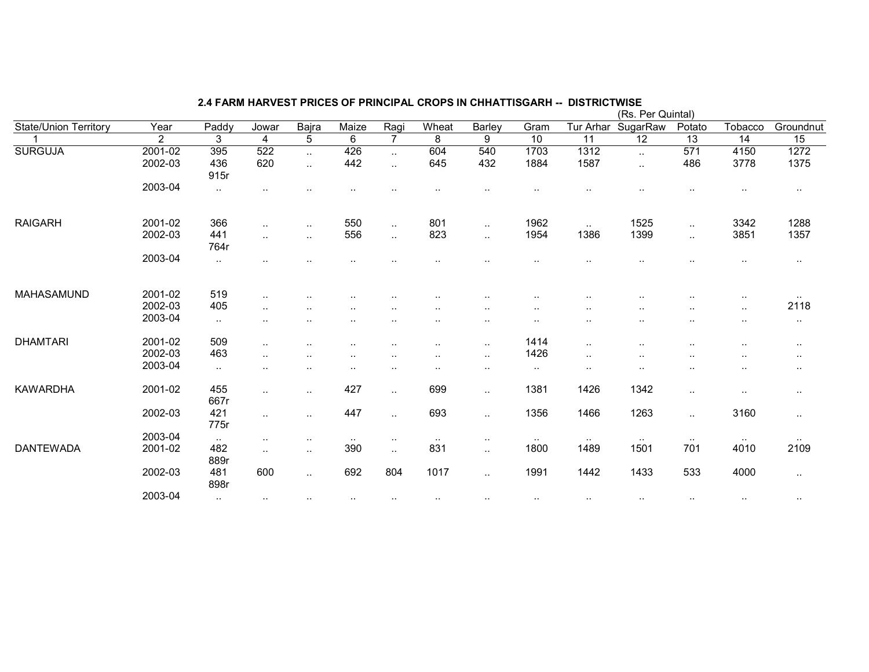|                              |             |             |                          |                      |                      |                        |        |           |                        |               | (Rs. Per Quintal) |           |                      |           |
|------------------------------|-------------|-------------|--------------------------|----------------------|----------------------|------------------------|--------|-----------|------------------------|---------------|-------------------|-----------|----------------------|-----------|
| <b>State/Union Territory</b> | Year        | Paddy       | Jowar                    | Bajra                | Maize                | Ragi                   | Wheat  | Barley    | Gram                   | Tur Arhar     | SugarRaw          | Potato    | Tobacco              | Groundnut |
|                              | 2           | 3           | 4                        | 5                    | 6                    | 7                      | 8      | 9         | 10                     | 11            | $\overline{12}$   | 13        | 14                   | 15        |
| <b>SURGUJA</b>               | $2001 - 02$ | 395         | 522                      | $\ddotsc$            | 426                  | $\ddot{\phantom{a}}$   | 604    | 540       | 1703                   | 1312          |                   | 571       | 4150                 | 1272      |
|                              | 2002-03     | 436         | 620                      | $\ldots$             | 442                  | $\ddotsc$              | 645    | 432       | 1884                   | 1587          | $\ddotsc$         | 486       | 3778                 | 1375      |
|                              |             | 915r        |                          |                      |                      |                        |        |           |                        |               |                   |           |                      |           |
|                              | 2003-04     | $\sim$      | $\overline{\phantom{a}}$ |                      |                      |                        |        |           |                        |               |                   | $\ddotsc$ |                      | $\cdots$  |
|                              |             |             |                          |                      |                      |                        |        |           |                        |               |                   |           |                      |           |
| <b>RAIGARH</b>               | 2001-02     | 366         | $\sim$                   | $\sim$               | 550                  | $\ddot{\phantom{a}}$   | 801    | $\ddotsc$ | 1962                   | $\sim$        | 1525              | $\sim$    | 3342                 | 1288      |
|                              | 2002-03     | 441         | $\ddotsc$                | $\ddot{\phantom{a}}$ | 556                  | $\ddotsc$              | 823    | $\ddotsc$ | 1954                   | 1386          | 1399              | $\ddotsc$ | 3851                 | 1357      |
|                              |             | 764r        |                          |                      |                      |                        |        |           |                        |               |                   |           |                      |           |
|                              | 2003-04     |             |                          |                      |                      |                        |        |           |                        |               |                   |           |                      | $\cdots$  |
|                              |             |             |                          |                      |                      |                        |        |           |                        |               |                   |           |                      |           |
| MAHASAMUND                   | 2001-02     | 519         | $\ddotsc$                |                      |                      |                        |        |           |                        |               |                   |           |                      | $\sim$    |
|                              | 2002-03     | 405         | $\sim$                   |                      |                      |                        |        | $\sim$    | $\ddot{\phantom{1}}$ . |               |                   | $\sim$    | $\cdot$ .            | 2118      |
|                              | 2003-04     | $\cdot$ .   | $\ddotsc$                | $\cdot$ .            | $\ddot{\phantom{a}}$ | $\ddot{\phantom{a}}$   | ٠.     | $\ddotsc$ | $\cdot$ .              |               | $\ddotsc$         | $\ddotsc$ | $\ddotsc$            | $\cdots$  |
| <b>DHAMTARI</b>              | 2001-02     | 509         | $\sim$                   |                      |                      |                        | . .    | $\cdot$ . | 1414                   | $\ddotsc$     |                   |           |                      | $\cdots$  |
|                              | 2002-03     | 463         | $\ddotsc$                |                      |                      | $\ddot{\phantom{a}}$   |        | $\cdot$ . | 1426                   | $\sim$ $\sim$ |                   |           | $\ddot{\phantom{a}}$ | $\cdots$  |
|                              | 2003-04     | $\sim$      | $\ddot{\phantom{a}}$     | . .                  |                      |                        |        | $\sim$    | $\sim$                 | $\sim$        |                   | ٠.        |                      | $\cdots$  |
| <b>KAWARDHA</b>              | 2001-02     | 455         | $\sim$                   | $\sim$ $\sim$        | 427                  | $\cdot$ .              | 699    | $\cdot$ . | 1381                   | 1426          | 1342              | $\sim$    | $\ddot{\phantom{0}}$ | $\cdot$ . |
|                              |             | 667r        |                          |                      |                      |                        |        |           |                        |               |                   |           |                      |           |
|                              | 2002-03     | 421         | $\ddot{\phantom{a}}$     | $\ddotsc$            | 447                  | $\ddotsc$              | 693    | $\cdot$ . | 1356                   | 1466          | 1263              | $\sim$    | 3160                 | $\sim$    |
|                              |             | 775r        |                          |                      |                      |                        |        |           |                        |               |                   |           |                      |           |
|                              | 2003-04     | $\sim$      | $\ddotsc$                | $\sim$               | $\sim$               | $\ddotsc$              | $\sim$ | $\sim$    | $\sim$                 | $\sim$ $\sim$ | $\sim$            | $\sim$    | $\sim$ $\sim$        | $\sim$    |
| <b>DANTEWADA</b>             | 2001-02     | 482<br>889r | $\sim$                   | $\ddot{\phantom{a}}$ | 390                  | $\ddotsc$              | 831    | $\ddotsc$ | 1800                   | 1489          | 1501              | 701       | 4010                 | 2109      |
|                              | 2002-03     | 481<br>898r | 600                      | $\cdot$ .            | 692                  | 804                    | 1017   | $\cdot$ . | 1991                   | 1442          | 1433              | 533       | 4000                 | $\sim$    |
|                              | 2003-04     | ٠.          | $\sim$                   | $\sim$               | $\sim$               | $\ddot{\phantom{1}}$ . | $\sim$ |           | $\sim$                 | $\sim$        | $\sim$            | $\sim$    | $\sim$               | $\cdots$  |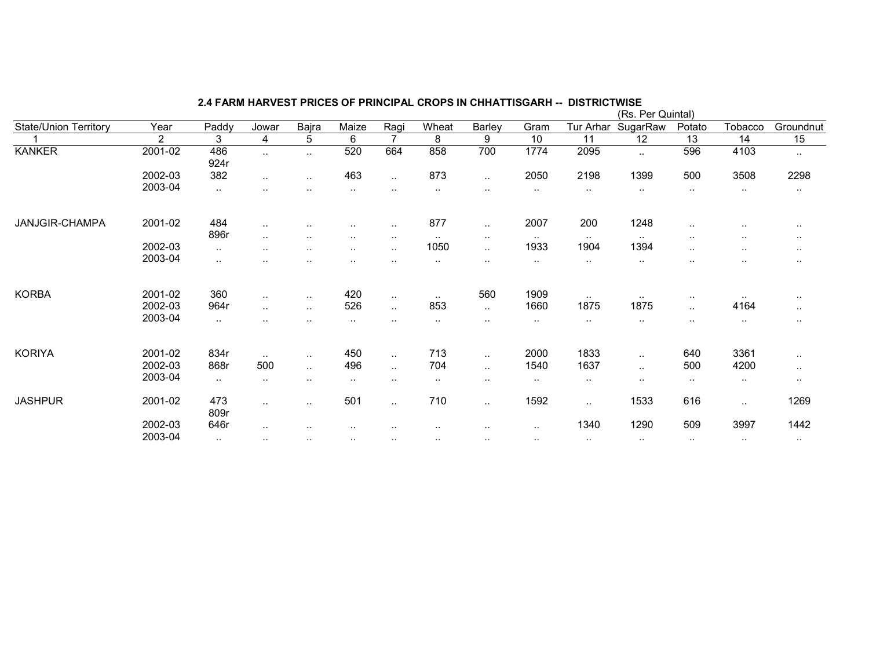|                              |                |             |           |                      |           |                      |               |               |           |               | (Rs. Per Quintal) |        |           |           |
|------------------------------|----------------|-------------|-----------|----------------------|-----------|----------------------|---------------|---------------|-----------|---------------|-------------------|--------|-----------|-----------|
| <b>State/Union Territory</b> | Year           | Paddy       | Jowar     | Bajra                | Maize     | Ragi                 | Wheat         | Barley        | Gram      | Tur Arhar     | SugarRaw          | Potato | Tobacco   | Groundnut |
|                              | $\overline{2}$ | 3           | 4         | 5                    | 6         | 7                    | 8             | 9             | 10        | 11            | $\overline{12}$   | 13     | 14        | 15        |
| <b>KANKER</b>                | 2001-02        | 486<br>924r | $\ddotsc$ | $\sim$               | 520       | 664                  | 858           | 700           | 1774      | 2095          | $\ddotsc$         | 596    | 4103      | $\sim$    |
|                              | 2002-03        | 382         |           | $\cdot$ .            | 463       | $\sim$               | 873           | $\sim$        | 2050      | 2198          | 1399              | 500    | 3508      | 2298      |
|                              | 2003-04        | $\cdot$ .   |           |                      | $\sim$    | $\sim$               | $\sim$        | $\sim$ $\sim$ | $\cdots$  | $\sim$        | $\sim$ $\sim$     | $\sim$ | $\sim$    | $\cdot$ . |
| JANJGIR-CHAMPA               | 2001-02        | 484         | $\ddotsc$ | $\sim$ $\sim$        | $\sim$    | $\sim$               | 877           | $\sim$        | 2007      | 200           | 1248              | $\sim$ | $\sim$    | $\cdot$ . |
|                              |                | 896r        | $\ddotsc$ | $\ddotsc$            | $\sim$    | $\sim$               | $\sim$        | $\cdots$      | $\sim$    | $\sim$ $\sim$ | $\sim$ $\sim$     | $\sim$ | $\sim$    | $\cdot$ . |
|                              | 2002-03        | $\sim$      | $\sim$    | $\cdots$             | $\sim$    | $\sim$               | 1050          | $\cdot$ .     | 1933      | 1904          | 1394              | $\sim$ | $\sim$    | $\sim$    |
|                              | 2003-04        | $\cdot$ .   |           |                      |           | $\ddot{\phantom{a}}$ | $\sim$        | $\cdot$ .     | $\cdots$  | $\sim$        | $\sim$ $\sim$     | $\sim$ | $\sim$    | $\sim$    |
| <b>KORBA</b>                 | 2001-02        | 360         | $\ddotsc$ | $\cdot$ .            | 420       | $\sim$               | $\sim$ $\sim$ | 560           | 1909      | $\sim$        | $\sim$ $\sim$     | $\sim$ |           | $\cdot$ . |
|                              | 2002-03        | 964r        | $\ddotsc$ | $\ddotsc$            | 526       | $\mathbf{L}$         | 853           | $\sim$ .      | 1660      | 1875          | 1875              | $\sim$ | 4164      | $\sim$    |
|                              | 2003-04        | $\cdot$ .   | $\sim$    |                      |           | $\sim$               | $\cdot$ .     | $\sim$        | $\sim$    | $\sim$        | $\sim$            | $\sim$ | $\sim$    | $\cdots$  |
| <b>KORIYA</b>                | 2001-02        | 834r        | $\sim$    | $\sim$               | 450       | $\sim$               | 713           | $\sim$        | 2000      | 1833          | $\sim$            | 640    | 3361      | $\cdot$ . |
|                              | 2002-03        | 868r        | 500       | $\ddot{\phantom{a}}$ | 496       | $\sim$               | 704           | $\sim$        | 1540      | 1637          | $\ddotsc$         | 500    | 4200      | $\cdot$ . |
|                              | 2003-04        | $\cdot$ .   | $\sim$    | $\cdot$ .            | $\sim$    | $\sim$               | $\sim$        | $\sim$ $\sim$ | $\cdot$ . | $\sim$        | $\sim$            | $\sim$ | $\sim$    | $\cdot$ . |
| <b>JASHPUR</b>               | 2001-02        | 473<br>809r | $\sim$    | $\cdot$ .            | 501       | $\sim$               | 710           | $\sim$        | 1592      | $\cdot$ .     | 1533              | 616    | $\cdot$ . | 1269      |
|                              | 2002-03        | 646r        | ٠.        |                      |           |                      |               | $\sim$ $\sim$ | $\sim$    | 1340          | 1290              | 509    | 3997      | 1442      |
|                              | 2003-04        | $\sim$      | $\sim$    | $\cdot$ .            | $\cdot$ . | $\sim$               | $\sim$        | $\cdots$      | $\sim$    | $\cdots$      | $\cdot$ .         | $\sim$ | $\sim$    | $\cdot$ . |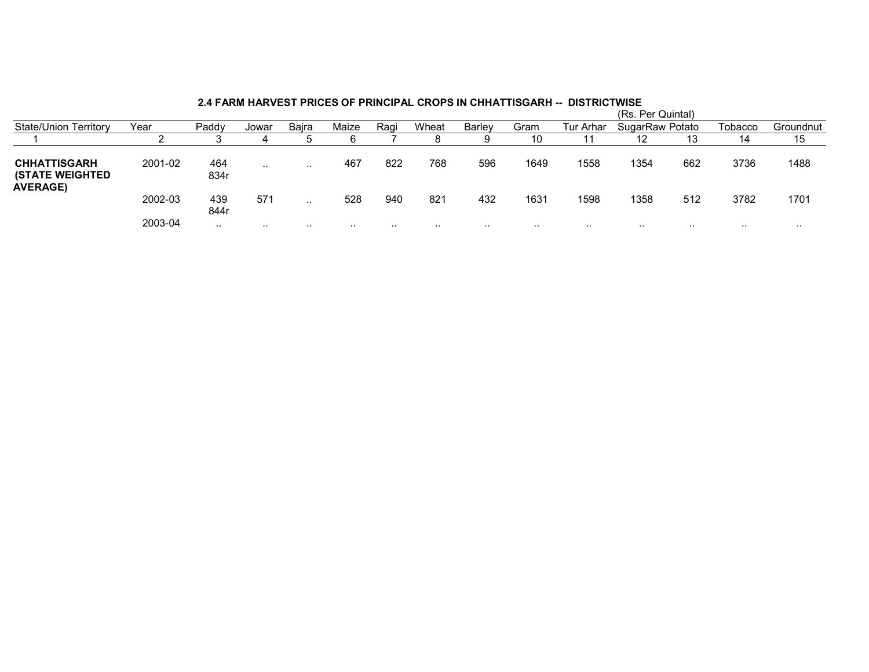|                                                                  |         |             |           |           |       |      |           |               |      |           | (Rs. Per Quintal) |     |         |           |  |  |  |  |
|------------------------------------------------------------------|---------|-------------|-----------|-----------|-------|------|-----------|---------------|------|-----------|-------------------|-----|---------|-----------|--|--|--|--|
| <b>State/Union Territory</b>                                     | Year    | Paddy       | Jowar     | Baira     | Maize | Raqi | Wheat     | <b>Barley</b> | Gram | Tur Arhar | SugarRaw Potato   |     | Tobacco | Groundnut |  |  |  |  |
|                                                                  |         |             |           |           |       |      | o         |               | 10   |           | 12                | 13  | 14      | 15        |  |  |  |  |
| <b>CHHATTISGARH</b><br><b>(STATE WEIGHTED</b><br><b>AVERAGE)</b> | 2001-02 | 464<br>834r | $\cdot$ . | $\cdot$ . | 467   | 822  | 768       | 596           | 1649 | 1558      | 1354              | 662 | 3736    | 1488      |  |  |  |  |
|                                                                  | 2002-03 | 439<br>844r | 571       | $\cdot$ . | 528   | 940  | 821       | 432           | 1631 | 1598      | 1358              | 512 | 3782    | 1701      |  |  |  |  |
|                                                                  | 2003-04 | $\cdot$ .   | .         | . .       |       | .    | $\cdot$ . |               |      | .         |                   |     | .       | $\cdots$  |  |  |  |  |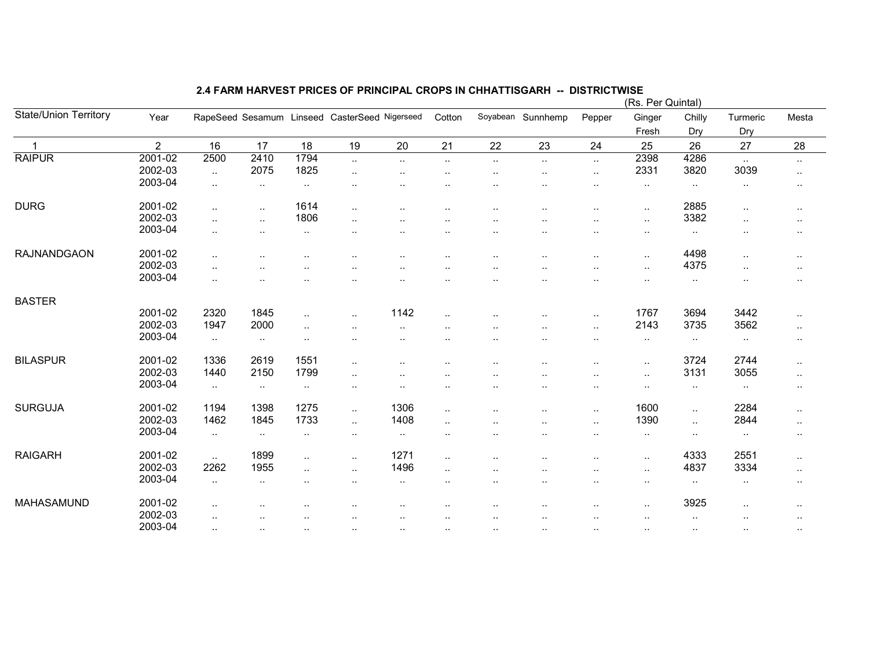|                              |                |                        |               |                      |                                               |                        |                      |                        |                   |                                   | (Rs. Per Quintal) |           |               |               |
|------------------------------|----------------|------------------------|---------------|----------------------|-----------------------------------------------|------------------------|----------------------|------------------------|-------------------|-----------------------------------|-------------------|-----------|---------------|---------------|
| <b>State/Union Territory</b> | Year           |                        |               |                      | RapeSeed Sesamum Linseed CasterSeed Nigerseed |                        | Cotton               |                        | Soyabean Sunnhemp | Pepper                            | Ginger            | Chilly    | Turmeric      | Mesta         |
|                              |                |                        |               |                      |                                               |                        |                      |                        |                   |                                   | Fresh             | Dry       | Dry           |               |
| $\overline{1}$               | $\overline{2}$ | 16                     | 17            | 18                   | 19                                            | 20                     | 21                   | 22                     | 23                | 24                                | 25                | 26        | 27            | 28            |
| <b>RAIPUR</b>                | 2001-02        | 2500                   | 2410          | 1794                 | $\ddotsc$                                     | $\cdot$ .              | $\cdot$ .            | $\ddotsc$              | $\ddotsc$         | $\ddotsc$                         | 2398              | 4286      | $\sim$        | $\cdot$ .     |
|                              | 2002-03        | $\sim$                 | 2075          | 1825                 | $\cdot$ .                                     | $\ddotsc$              |                      | $\ddotsc$              |                   | $\ddotsc$                         | 2331              | 3820      | 3039          | $\sim$        |
|                              | 2003-04        | $\ddotsc$              | $\sim$        | $\sim$               |                                               |                        |                      | $\cdot$ .              |                   | $\ddot{\phantom{a}}$              | $\sim$            | $\sim$    | $\sim$        | $\sim$        |
| <b>DURG</b>                  | 2001-02        | $\cdot$ .              | $\sim$        | 1614                 | $\sim$                                        |                        |                      | $\ddotsc$              |                   |                                   |                   | 2885      | $\ddotsc$     |               |
|                              | 2002-03        |                        | $\ldots$      | 1806                 |                                               | $\cdot$ .              |                      |                        |                   | $\sim$ $\sim$                     | $\sim$            | 3382      |               | $\sim$        |
|                              | 2003-04        | $\ddotsc$<br>$\ddotsc$ | $\cdot$ .     | $\ddotsc$            | $\ddot{\phantom{a}}$<br>                      | $\ddotsc$<br>$\ddotsc$ | ٠.                   | $\ddotsc$<br>$\ddotsc$ |                   | $\ddot{\phantom{0}}$<br>$\ddotsc$ | $\sim$<br>$\sim$  |           | $\cdot$ .<br> | $\cdot$ .     |
|                              |                |                        |               |                      |                                               |                        |                      |                        |                   |                                   |                   | $\sim$    |               | $\sim$        |
| <b>RAJNANDGAON</b>           | 2001-02        | $\ddotsc$              | $\ddotsc$     | $\ddotsc$            | ٠.                                            | $\ddotsc$              | $\ddotsc$            | $\ddotsc$              | $\cdot$ .         | $\ddotsc$                         | $\sim$            | 4498      | $\ddotsc$     | $\sim$ $\sim$ |
|                              | 2002-03        | $\cdot$ .              |               |                      |                                               |                        |                      |                        |                   | $\ddot{\phantom{a}}$              | $\ldots$          | 4375      | $\cdot$ .     | $\cdots$      |
|                              | 2003-04        | $\ddotsc$              |               |                      |                                               |                        | $\ddot{\phantom{a}}$ | $\ddot{\phantom{a}}$   |                   | $\ddot{\phantom{a}}$              | $\cdot$ .         | $\sim$    | $\cdot$ .     | $\cdot$ .     |
|                              |                |                        |               |                      |                                               |                        |                      |                        |                   |                                   |                   |           |               |               |
| <b>BASTER</b>                |                |                        |               |                      |                                               |                        |                      |                        |                   |                                   |                   |           |               |               |
|                              | 2001-02        | 2320                   | 1845          | $\sim$               |                                               | 1142                   | $\ddot{\phantom{a}}$ |                        |                   | $\cdot$ .                         | 1767              | 3694      | 3442          | $\sim$        |
|                              | 2002-03        | 1947                   | 2000          | $\ddotsc$            |                                               | $\ddotsc$              |                      |                        |                   | $\ddotsc$                         | 2143              | 3735      | 3562          | $\sim$        |
|                              | 2003-04        | $\sim$                 | $\sim$        | $\ddot{\phantom{a}}$ |                                               | $\cdot$ .              | $\cdot$ .            | ٠.                     |                   | $\ddot{\phantom{a}}$              | $\sim$            | $\cdot$ . | $\sim$ $\sim$ | $\sim$        |
|                              |                |                        |               |                      |                                               |                        |                      |                        |                   |                                   |                   |           |               |               |
| <b>BILASPUR</b>              | 2001-02        | 1336                   | 2619          | 1551                 | $\ddotsc$                                     |                        |                      |                        |                   | $\ddot{\phantom{a}}$              | $\sim$            | 3724      | 2744          | $\sim$        |
|                              | 2002-03        | 1440                   | 2150          | 1799                 | $\ddot{\phantom{a}}$                          |                        |                      |                        |                   | $\ddot{\phantom{a}}$              | $\cdot$ .         | 3131      | 3055          | $\sim$        |
|                              | 2003-04        | $\sim$                 | $\sim$        | $\sim$               | $\cdot$ .                                     | ٠.                     |                      | ٠.                     |                   | $\ddotsc$                         | $\cdot$ .         | $\sim$    | $\sim$        | $\cdot$ .     |
| <b>SURGUJA</b>               | 2001-02        | 1194                   | 1398          | 1275                 | $\ddotsc$                                     | 1306                   | $\ldots$             |                        |                   | $\cdot$ .                         | 1600              | $\sim$    | 2284          | $\cdot$ .     |
|                              | 2002-03        | 1462                   | 1845          | 1733                 | $\ddotsc$                                     | 1408                   | $\ddot{\phantom{a}}$ | $\ddot{\phantom{a}}$   |                   | $\cdot$ .                         | 1390              | $\ldots$  | 2844          | $\sim$        |
|                              | 2003-04        | $\sim$                 | $\sim$        | $\sim$               | $\sim$                                        | $\sim$                 | $\cdot$ .            | $\cdot$ .              | ٠.                | $\ddotsc$                         | $\sim$            | $\cdot$ . | $\sim$        | $\cdot$ .     |
|                              |                |                        |               |                      |                                               |                        |                      |                        |                   |                                   |                   |           |               |               |
| <b>RAIGARH</b>               | 2001-02        | $\sim$                 | 1899          | $\sim$               | $\ldots$                                      | 1271                   | $\cdot$ .            |                        |                   | $\ddotsc$                         | $\ldots$          | 4333      | 2551          | $\sim$        |
|                              | 2002-03        | 2262                   | 1955          | $\ddotsc$            | $\ddotsc$                                     | 1496                   | $\ldots$             | $\cdot$ .              |                   | $\cdot$ .                         | $\sim$            | 4837      | 3334          | $\sim$        |
|                              | 2003-04        | $\ldots$               | $\sim$        |                      | $\ldots$                                      | $\sim$                 | $\sim$               | $\cdot$ .              | ٠.                | $\ddot{\phantom{a}}$              | $\sim$            | $\sim$    | $\sim$        | $\cdot$ .     |
| MAHASAMUND                   | 2001-02        | $\cdot$ .              |               |                      |                                               |                        |                      | $\cdot$ .              |                   | $\ddotsc$                         | $\ldots$          | 3925      | $\cdot$ .     | $\cdot$ .     |
|                              | 2002-03        | $\cdot$ .              | $\sim$ $\sim$ | ٠.                   | $\cdot$ .                                     | $\sim$                 |                      | $\sim$ $\sim$          | ٠.                | $\ddotsc$                         | $\cdot$ .         | $\sim$    | $\sim$        | $\sim$        |
|                              | 2003-04        | $\ddotsc$              | $\ddotsc$     | $\sim$               |                                               | $\ddotsc$              | $\ddotsc$            | $\ddotsc$              | $\cdot$ .         | $\ddotsc$                         | $\sim$ $\sim$     | $\sim$    |               | $\sim$        |
|                              |                |                        |               |                      |                                               |                        |                      |                        |                   |                                   |                   |           |               |               |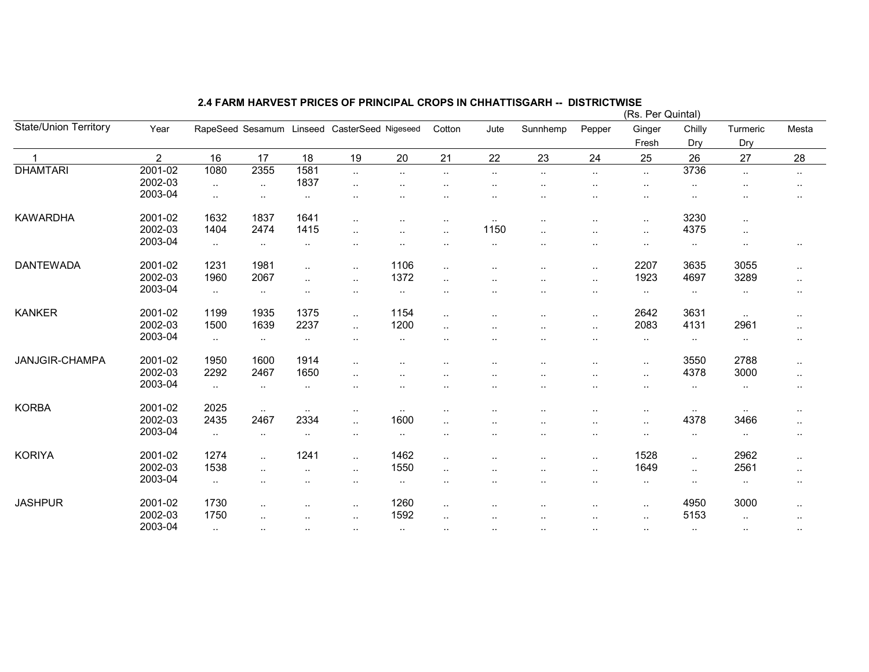|                              |                |               |                      |                      |                                              |               |                      |                      |                      |                      | (Rs. Per Quintal) |                      |           |               |
|------------------------------|----------------|---------------|----------------------|----------------------|----------------------------------------------|---------------|----------------------|----------------------|----------------------|----------------------|-------------------|----------------------|-----------|---------------|
| <b>State/Union Territory</b> | Year           |               |                      |                      | RapeSeed Sesamum Linseed CasterSeed Nigeseed |               | Cotton               | Jute                 | Sunnhemp             | Pepper               | Ginger            | Chilly               | Turmeric  | Mesta         |
|                              |                |               |                      |                      |                                              |               |                      |                      |                      |                      | Fresh             | Dry                  | Dry       |               |
|                              | $\overline{2}$ | 16            | 17                   | 18                   | 19                                           | 20            | 21                   | 22                   | 23                   | 24                   | 25                | 26                   | 27        | 28            |
| <b>DHAMTARI</b>              | 2001-02        | 1080          | 2355                 | 1581                 | $\ldots$                                     | $\ldots$      | $\sim$               | $\ddotsc$            | $\cdot$ .            | $\ddotsc$            | $\ddotsc$         | 3736                 | $\ddotsc$ | $\sim$        |
|                              | 2002-03        | $\ddotsc$     | $\sim$ $\sim$        | 1837                 | $\cdot$ .                                    |               |                      |                      |                      |                      | $\cdot$ .         |                      |           |               |
|                              | 2003-04        | $\cdot$ .     | $\ldots$             | $\sim$               | $\cdot$ .                                    |               |                      | $\ddotsc$            |                      | $\cdot$              | $\ddotsc$         |                      |           |               |
| <b>KAWARDHA</b>              | 2001-02        | 1632          | 1837                 | 1641                 | $\ddotsc$                                    | $\cdot$ .     |                      | $\sim$               | $\ddot{\phantom{0}}$ |                      | $\cdot$ .         | 3230                 | $\ddotsc$ |               |
|                              | 2002-03        | 1404          | 2474                 | 1415                 | $\ddot{\phantom{a}}$                         |               | $\ddot{\phantom{a}}$ | 1150                 |                      | $\ddot{\phantom{a}}$ | $\ddotsc$         | 4375                 | $\cdot$ . |               |
|                              | 2003-04        | $\sim$        | $\sim$               | $\cdot$ .            | $\sim$ $\sim$                                |               |                      | $\cdot$ .            |                      | $\sim$ $\sim$        | $\cdot$ .         | $\cdot$ .            | $\cdot$ . | $\cdot$ .     |
| <b>DANTEWADA</b>             | 2001-02        | 1231          | 1981                 | $\ldots$             | $\ddotsc$                                    | 1106          | $\sim$ $\sim$        | ٠.                   | $\ddotsc$            | $\ldots$             | 2207              | 3635                 | 3055      | $\sim$        |
|                              | 2002-03        | 1960          | 2067                 | $\cdot$ .            | $\ldots$                                     | 1372          | $\ddotsc$            | $\ddot{\phantom{a}}$ | $\cdot$ .            | $\ldots$             | 1923              | 4697                 | 3289      | $\sim$        |
|                              | 2003-04        | $\sim$        | $\cdot$ .            | $\cdot$ .            | $\sim$                                       | $\sim$        |                      |                      | $\ddot{\phantom{a}}$ | $\sim$               | $\cdot$ .         | $\cdot$ .            | $\cdot$ . | $\cdot$ .     |
| <b>KANKER</b>                | 2001-02        | 1199          | 1935                 | 1375                 | $\ddotsc$                                    | 1154          |                      |                      | $\cdot$ .            | $\ddotsc$            | 2642              | 3631                 | $\sim$    | $\sim$        |
|                              | 2002-03        | 1500          | 1639                 | 2237                 | $\ldots$                                     | 1200          |                      |                      |                      | $\cdot$ .            | 2083              | 4131                 | 2961      | $\sim$        |
|                              | 2003-04        | $\sim$        | $\sim$ $\sim$        | $\sim$               | $\cdots$                                     | $\ddotsc$     |                      |                      | $\ddot{\phantom{0}}$ | $\cdot$ .            | $\cdots$          | $\sim$               | $\sim$    | $\sim$ $\sim$ |
| JANJGIR-CHAMPA               | 2001-02        | 1950          | 1600                 | 1914                 | $\cdot$ .                                    |               |                      |                      |                      |                      | $\ldots$          | 3550                 | 2788      | $\ddotsc$     |
|                              | 2002-03        | 2292          | 2467                 | 1650                 | $\ddot{\phantom{a}}$                         |               |                      | ٠.                   |                      | $\ddotsc$            | $\ddotsc$         | 4378                 | 3000      | $\sim$ $\sim$ |
|                              | 2003-04        | $\sim$        | $\sim$               | $\sim$               |                                              |               |                      |                      |                      |                      | $\cdot$ .         | $\sim$               | $\sim$    | $\sim$        |
| <b>KORBA</b>                 | 2001-02        | 2025          | $\sim$ $\sim$        | $\sim$ $\sim$        | $\cdots$                                     | $\sim$ $\sim$ |                      |                      |                      | $\cdot$ .            | $\cdot$ .         |                      |           | $\cdot$ .     |
|                              | 2002-03        | 2435          | 2467                 | 2334                 | $\ddotsc$                                    | 1600          |                      |                      |                      |                      | $\cdot$ .         | 4378                 | 3466      | $\sim$        |
|                              | 2003-04        | $\ddotsc$     | $\sim$               | $\sim$               | $\sim$                                       | $\cdot$ .     |                      |                      | $\ddot{\phantom{a}}$ | $\ddotsc$            | $\cdot$ .         | $\cdot$ .            | $\cdot$ . | $\cdot$ .     |
| <b>KORIYA</b>                | 2001-02        | 1274          | $\ddot{\phantom{a}}$ | 1241                 | $\ddotsc$                                    | 1462          |                      |                      |                      | $\cdot$ .            | 1528              | $\ddotsc$            | 2962      | $\sim$        |
|                              | 2002-03        | 1538          |                      |                      | $\ldots$                                     | 1550          |                      |                      |                      | $\ldots$             | 1649              | $\ddotsc$            | 2561      | $\sim$        |
|                              | 2003-04        | $\ddotsc$     | $\ddotsc$            | $\ddot{\phantom{a}}$ | $\ldots$                                     | $\sim$        |                      | ٠.                   | $\ddotsc$            | $\cdot$ .            | $\sim$            | $\ddot{\phantom{0}}$ | $\ddotsc$ | $\sim$        |
| <b>JASHPUR</b>               | 2001-02        | 1730          |                      | $\cdot$ .            | $\ldots$                                     | 1260          | $\sim$ $\sim$        |                      |                      | $\cdot$ .            | $\ldots$          | 4950                 | 3000      | $\sim$        |
|                              | 2002-03        | 1750          | $\ddot{\phantom{a}}$ | $\ddotsc$            | $\ddotsc$                                    | 1592          |                      | $\ddotsc$            | $\ddot{\phantom{a}}$ | $\ddotsc$            | $\ddotsc$         | 5153                 | $\cdot$ . | $\sim$        |
|                              | 2003-04        | $\sim$ $\sim$ | $\ldots$             | $\cdot$ .            | $\ldots$                                     | $\sim$        |                      |                      | $\ddotsc$            | $\cdot$ .            | $\sim$ $\sim$     | $\cdot$ .            | $\cdot$ . |               |